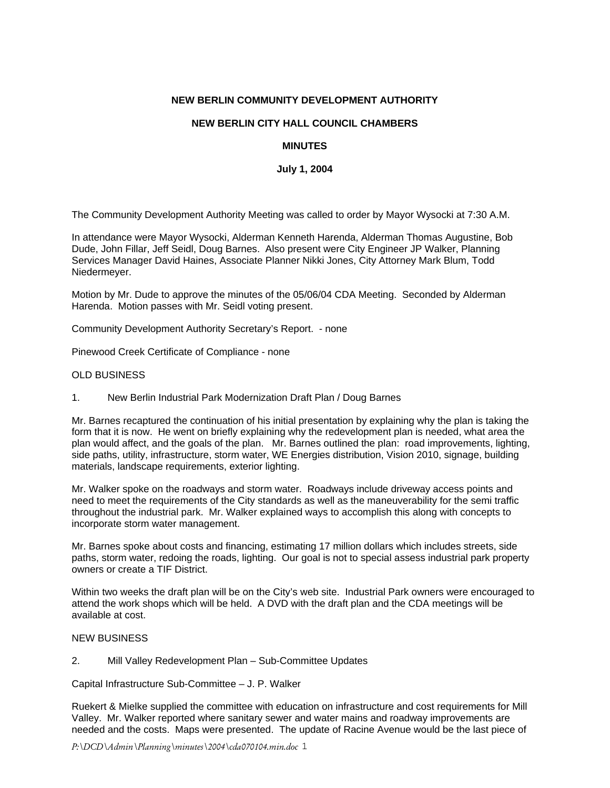### **NEW BERLIN COMMUNITY DEVELOPMENT AUTHORITY**

# **NEW BERLIN CITY HALL COUNCIL CHAMBERS**

## **MINUTES**

## **July 1, 2004**

The Community Development Authority Meeting was called to order by Mayor Wysocki at 7:30 A.M.

In attendance were Mayor Wysocki, Alderman Kenneth Harenda, Alderman Thomas Augustine, Bob Dude, John Fillar, Jeff Seidl, Doug Barnes. Also present were City Engineer JP Walker, Planning Services Manager David Haines, Associate Planner Nikki Jones, City Attorney Mark Blum, Todd Niedermeyer.

Motion by Mr. Dude to approve the minutes of the 05/06/04 CDA Meeting. Seconded by Alderman Harenda. Motion passes with Mr. Seidl voting present.

Community Development Authority Secretary's Report. - none

Pinewood Creek Certificate of Compliance - none

### OLD BUSINESS

1. New Berlin Industrial Park Modernization Draft Plan / Doug Barnes

Mr. Barnes recaptured the continuation of his initial presentation by explaining why the plan is taking the form that it is now. He went on briefly explaining why the redevelopment plan is needed, what area the plan would affect, and the goals of the plan. Mr. Barnes outlined the plan: road improvements, lighting, side paths, utility, infrastructure, storm water, WE Energies distribution, Vision 2010, signage, building materials, landscape requirements, exterior lighting.

Mr. Walker spoke on the roadways and storm water. Roadways include driveway access points and need to meet the requirements of the City standards as well as the maneuverability for the semi traffic throughout the industrial park. Mr. Walker explained ways to accomplish this along with concepts to incorporate storm water management.

Mr. Barnes spoke about costs and financing, estimating 17 million dollars which includes streets, side paths, storm water, redoing the roads, lighting. Our goal is not to special assess industrial park property owners or create a TIF District.

Within two weeks the draft plan will be on the City's web site. Industrial Park owners were encouraged to attend the work shops which will be held. A DVD with the draft plan and the CDA meetings will be available at cost.

## NEW BUSINESS

2. Mill Valley Redevelopment Plan – Sub-Committee Updates

Capital Infrastructure Sub-Committee – J. P. Walker

Ruekert & Mielke supplied the committee with education on infrastructure and cost requirements for Mill Valley. Mr. Walker reported where sanitary sewer and water mains and roadway improvements are needed and the costs. Maps were presented. The update of Racine Avenue would be the last piece of